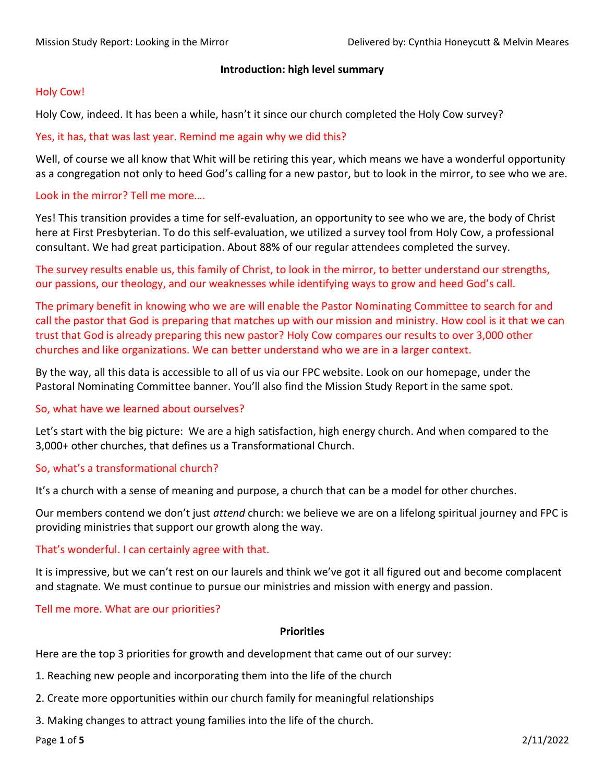### **Introduction: high level summary**

## Holy Cow!

Holy Cow, indeed. It has been a while, hasn't it since our church completed the Holy Cow survey?

## Yes, it has, that was last year. Remind me again why we did this?

Well, of course we all know that Whit will be retiring this year, which means we have a wonderful opportunity as a congregation not only to heed God's calling for a new pastor, but to look in the mirror, to see who we are.

### Look in the mirror? Tell me more….

Yes! This transition provides a time for self-evaluation, an opportunity to see who we are, the body of Christ here at First Presbyterian. To do this self-evaluation, we utilized a survey tool from Holy Cow, a professional consultant. We had great participation. About 88% of our regular attendees completed the survey.

The survey results enable us, this family of Christ, to look in the mirror, to better understand our strengths, our passions, our theology, and our weaknesses while identifying ways to grow and heed God's call.

The primary benefit in knowing who we are will enable the Pastor Nominating Committee to search for and call the pastor that God is preparing that matches up with our mission and ministry. How cool is it that we can trust that God is already preparing this new pastor? Holy Cow compares our results to over 3,000 other churches and like organizations. We can better understand who we are in a larger context.

By the way, all this data is accessible to all of us via our FPC website. Look on our homepage, under the Pastoral Nominating Committee banner. You'll also find the Mission Study Report in the same spot.

### So, what have we learned about ourselves?

Let's start with the big picture: We are a high satisfaction, high energy church. And when compared to the 3,000+ other churches, that defines us a Transformational Church.

## So, what's a transformational church?

It's a church with a sense of meaning and purpose, a church that can be a model for other churches.

Our members contend we don't just *attend* church: we believe we are on a lifelong spiritual journey and FPC is providing ministries that support our growth along the way.

### That's wonderful. I can certainly agree with that.

It is impressive, but we can't rest on our laurels and think we've got it all figured out and become complacent and stagnate. We must continue to pursue our ministries and mission with energy and passion.

### Tell me more. What are our priorities?

### **Priorities**

Here are the top 3 priorities for growth and development that came out of our survey:

- 1. Reaching new people and incorporating them into the life of the church
- 2. Create more opportunities within our church family for meaningful relationships
- 3. Making changes to attract young families into the life of the church.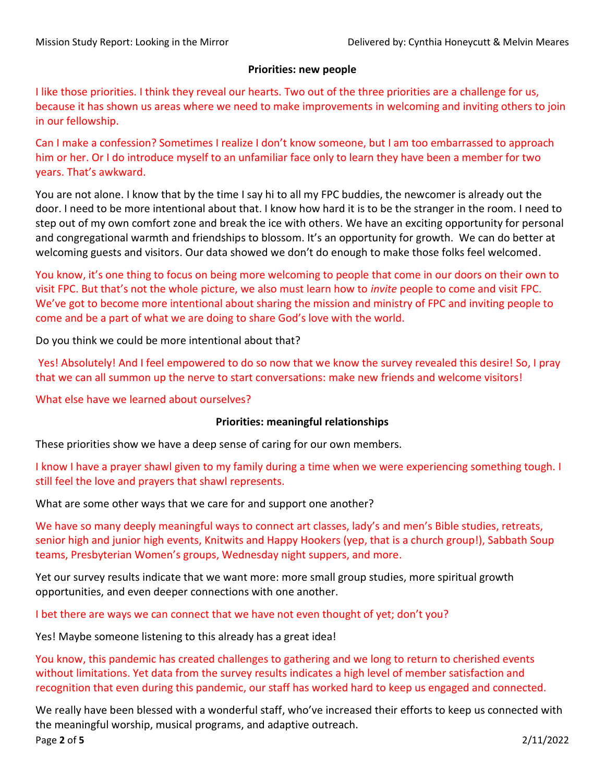### **Priorities: new people**

I like those priorities. I think they reveal our hearts. Two out of the three priorities are a challenge for us, because it has shown us areas where we need to make improvements in welcoming and inviting others to join in our fellowship.

Can I make a confession? Sometimes I realize I don't know someone, but I am too embarrassed to approach him or her. Or I do introduce myself to an unfamiliar face only to learn they have been a member for two years. That's awkward.

You are not alone. I know that by the time I say hi to all my FPC buddies, the newcomer is already out the door. I need to be more intentional about that. I know how hard it is to be the stranger in the room. I need to step out of my own comfort zone and break the ice with others. We have an exciting opportunity for personal and congregational warmth and friendships to blossom. It's an opportunity for growth. We can do better at welcoming guests and visitors. Our data showed we don't do enough to make those folks feel welcomed.

You know, it's one thing to focus on being more welcoming to people that come in our doors on their own to visit FPC. But that's not the whole picture, we also must learn how to *invite* people to come and visit FPC. We've got to become more intentional about sharing the mission and ministry of FPC and inviting people to come and be a part of what we are doing to share God's love with the world.

Do you think we could be more intentional about that?

Yes! Absolutely! And I feel empowered to do so now that we know the survey revealed this desire! So, I pray that we can all summon up the nerve to start conversations: make new friends and welcome visitors!

What else have we learned about ourselves?

### **Priorities: meaningful relationships**

These priorities show we have a deep sense of caring for our own members.

I know I have a prayer shawl given to my family during a time when we were experiencing something tough. I still feel the love and prayers that shawl represents.

What are some other ways that we care for and support one another?

We have so many deeply meaningful ways to connect art classes, lady's and men's Bible studies, retreats, senior high and junior high events, Knitwits and Happy Hookers (yep, that is a church group!), Sabbath Soup teams, Presbyterian Women's groups, Wednesday night suppers, and more.

Yet our survey results indicate that we want more: more small group studies, more spiritual growth opportunities, and even deeper connections with one another.

I bet there are ways we can connect that we have not even thought of yet; don't you?

Yes! Maybe someone listening to this already has a great idea!

You know, this pandemic has created challenges to gathering and we long to return to cherished events without limitations. Yet data from the survey results indicates a high level of member satisfaction and recognition that even during this pandemic, our staff has worked hard to keep us engaged and connected.

Page **2** of **5** 2/11/2022 We really have been blessed with a wonderful staff, who've increased their efforts to keep us connected with the meaningful worship, musical programs, and adaptive outreach.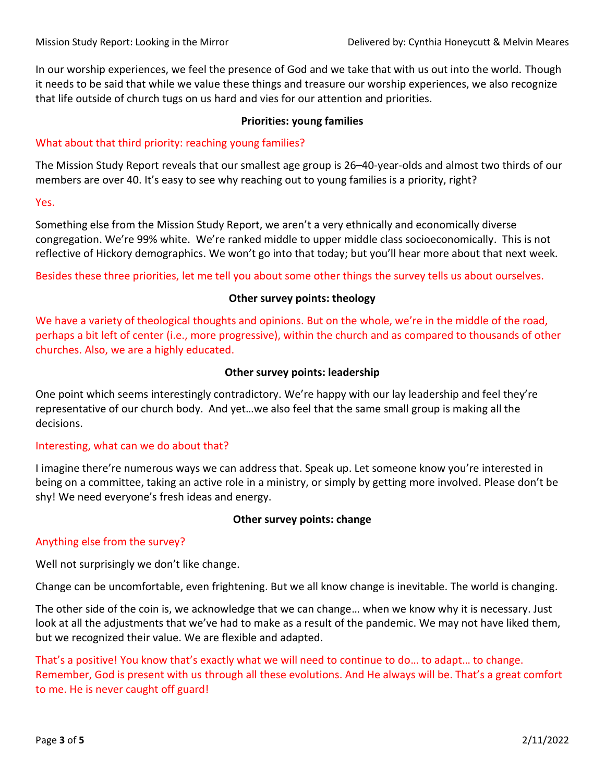In our worship experiences, we feel the presence of God and we take that with us out into the world. Though it needs to be said that while we value these things and treasure our worship experiences, we also recognize that life outside of church tugs on us hard and vies for our attention and priorities.

### **Priorities: young families**

# What about that third priority: reaching young families?

The Mission Study Report reveals that our smallest age group is 26–40-year-olds and almost two thirds of our members are over 40. It's easy to see why reaching out to young families is a priority, right?

#### Yes.

Something else from the Mission Study Report, we aren't a very ethnically and economically diverse congregation. We're 99% white. We're ranked middle to upper middle class socioeconomically. This is not reflective of Hickory demographics. We won't go into that today; but you'll hear more about that next week.

Besides these three priorities, let me tell you about some other things the survey tells us about ourselves.

### **Other survey points: theology**

We have a variety of theological thoughts and opinions. But on the whole, we're in the middle of the road, perhaps a bit left of center (i.e., more progressive), within the church and as compared to thousands of other churches. Also, we are a highly educated.

## **Other survey points: leadership**

One point which seems interestingly contradictory. We're happy with our lay leadership and feel they're representative of our church body. And yet…we also feel that the same small group is making all the decisions.

### Interesting, what can we do about that?

I imagine there're numerous ways we can address that. Speak up. Let someone know you're interested in being on a committee, taking an active role in a ministry, or simply by getting more involved. Please don't be shy! We need everyone's fresh ideas and energy.

### **Other survey points: change**

### Anything else from the survey?

Well not surprisingly we don't like change.

Change can be uncomfortable, even frightening. But we all know change is inevitable. The world is changing.

The other side of the coin is, we acknowledge that we can change… when we know why it is necessary. Just look at all the adjustments that we've had to make as a result of the pandemic. We may not have liked them, but we recognized their value. We are flexible and adapted.

That's a positive! You know that's exactly what we will need to continue to do… to adapt… to change. Remember, God is present with us through all these evolutions. And He always will be. That's a great comfort to me. He is never caught off guard!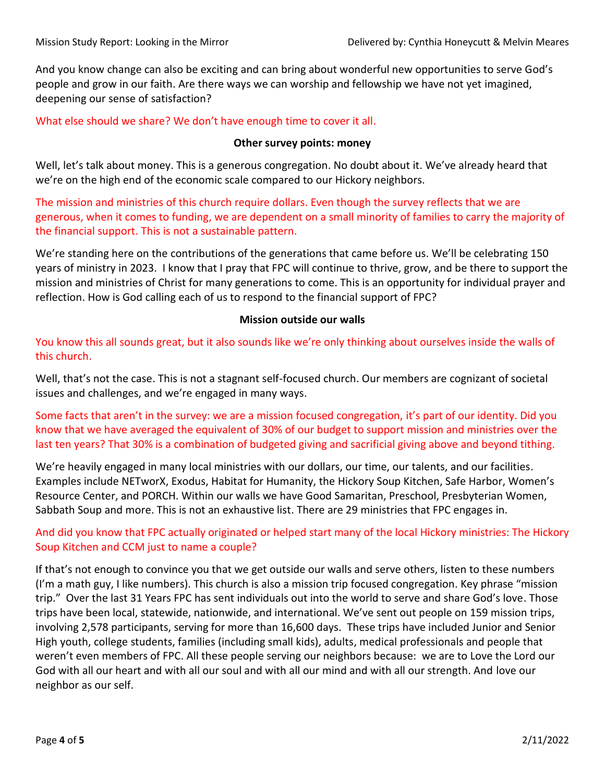And you know change can also be exciting and can bring about wonderful new opportunities to serve God's people and grow in our faith. Are there ways we can worship and fellowship we have not yet imagined, deepening our sense of satisfaction?

What else should we share? We don't have enough time to cover it all.

# **Other survey points: money**

Well, let's talk about money. This is a generous congregation. No doubt about it. We've already heard that we're on the high end of the economic scale compared to our Hickory neighbors.

The mission and ministries of this church require dollars. Even though the survey reflects that we are generous, when it comes to funding, we are dependent on a small minority of families to carry the majority of the financial support. This is not a sustainable pattern.

We're standing here on the contributions of the generations that came before us. We'll be celebrating 150 years of ministry in 2023. I know that I pray that FPC will continue to thrive, grow, and be there to support the mission and ministries of Christ for many generations to come. This is an opportunity for individual prayer and reflection. How is God calling each of us to respond to the financial support of FPC?

# **Mission outside our walls**

You know this all sounds great, but it also sounds like we're only thinking about ourselves inside the walls of this church.

Well, that's not the case. This is not a stagnant self-focused church. Our members are cognizant of societal issues and challenges, and we're engaged in many ways.

Some facts that aren't in the survey: we are a mission focused congregation, it's part of our identity. Did you know that we have averaged the equivalent of 30% of our budget to support mission and ministries over the last ten years? That 30% is a combination of budgeted giving and sacrificial giving above and beyond tithing.

We're heavily engaged in many local ministries with our dollars, our time, our talents, and our facilities. Examples include NETworX, Exodus, Habitat for Humanity, the Hickory Soup Kitchen, Safe Harbor, Women's Resource Center, and PORCH. Within our walls we have Good Samaritan, Preschool, Presbyterian Women, Sabbath Soup and more. This is not an exhaustive list. There are 29 ministries that FPC engages in.

# And did you know that FPC actually originated or helped start many of the local Hickory ministries: The Hickory Soup Kitchen and CCM just to name a couple?

If that's not enough to convince you that we get outside our walls and serve others, listen to these numbers (I'm a math guy, I like numbers). This church is also a mission trip focused congregation. Key phrase "mission trip." Over the last 31 Years FPC has sent individuals out into the world to serve and share God's love. Those trips have been local, statewide, nationwide, and international. We've sent out people on 159 mission trips, involving 2,578 participants, serving for more than 16,600 days. These trips have included Junior and Senior High youth, college students, families (including small kids), adults, medical professionals and people that weren't even members of FPC. All these people serving our neighbors because: we are to Love the Lord our God with all our heart and with all our soul and with all our mind and with all our strength. And love our neighbor as our self.